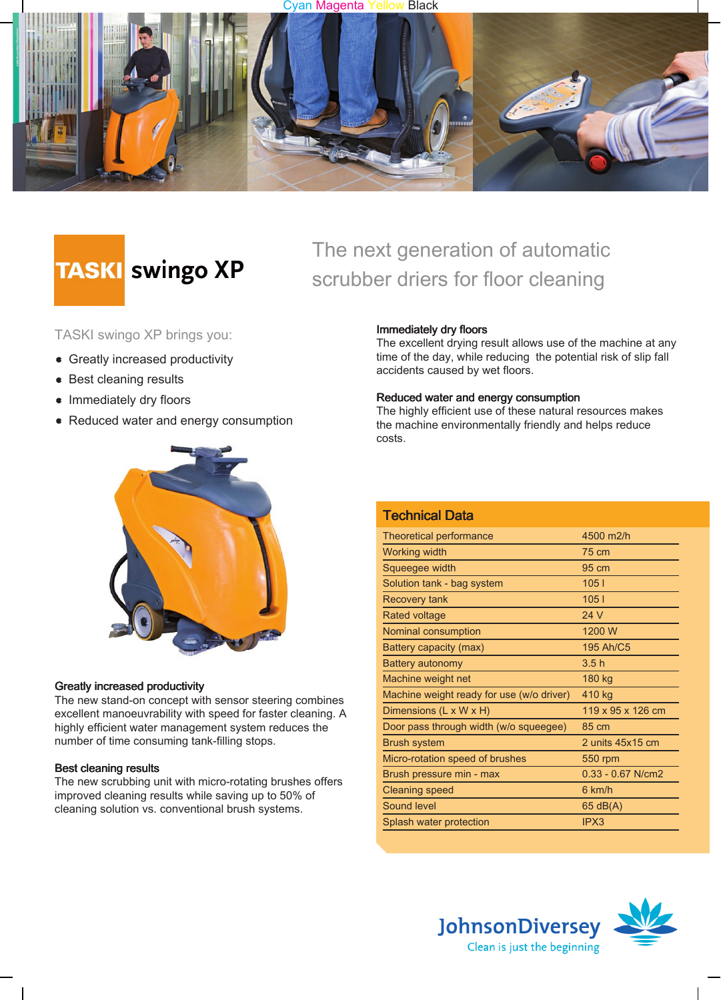#### Cyan Magenta Yellow Black



# **TASKI** swingo XP

### TASKI swingo XP brings you:

- Greatly increased productivity
- Best cleaning results
- Immediately dry floors
- Reduced water and energy consumption



#### Greatly increased productivity

The new stand-on concept with sensor steering combines excellent manoeuvrability with speed for faster cleaning. A highly efficient water management system reduces the number of time consuming tank-filling stops.

#### Best cleaning results

The new scrubbing unit with micro-rotating brushes offers improved cleaning results while saving up to 50% of cleaning solution vs. conventional brush systems.

## The next generation of automatic scrubber driers for floor cleaning

#### Immediately dry floors

The excellent drying result allows use of the machine at any time of the day, while reducing the potential risk of slip fall accidents caused by wet floors.

#### Reduced water and energy consumption

The highly efficient use of these natural resources makes the machine environmentally friendly and helps reduce costs.

| <b>Technical Data</b>                     |                     |
|-------------------------------------------|---------------------|
| Theoretical performance                   | 4500 m2/h           |
| Working width                             | 75 cm               |
| Squeegee width                            | $95 \text{ cm}$     |
| Solution tank - bag system                | 1051                |
| <b>Recovery tank</b>                      | 1051                |
| Rated voltage                             | 24 V                |
| Nominal consumption                       | 1200 W              |
| Battery capacity (max)                    | 195 Ah/C5           |
| Battery autonomy                          | 3.5h                |
| Machine weight net                        | 180 kg              |
| Machine weight ready for use (w/o driver) | 410 kg              |
| Dimensions (L x W x H)                    | 119 x 95 x 126 cm   |
| Door pass through width (w/o squeegee)    | 85 cm               |
| <b>Brush system</b>                       | 2 units 45x15 cm    |
| Micro-rotation speed of brushes           | <b>550 rpm</b>      |
| Brush pressure min - max                  | $0.33 - 0.67$ N/cm2 |
| <b>Cleaning speed</b>                     | 6 km/h              |
| Sound level                               | 65 dB(A)            |
| Splash water protection                   | IPX3                |